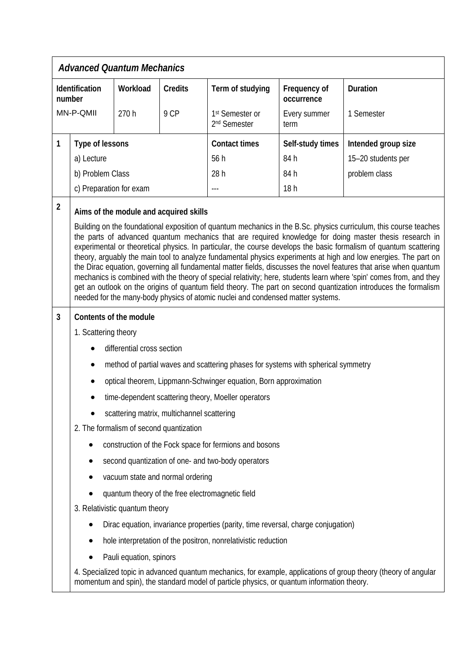| <b>Advanced Quantum Mechanics</b> |                                                                                                                                                                                                                                                                                                                                                                                                                                                                                                                                                                                                                                                                                                                                                                                                                                                                                                                        |                            |                                                                                   |                                                         |                            |                 |  |
|-----------------------------------|------------------------------------------------------------------------------------------------------------------------------------------------------------------------------------------------------------------------------------------------------------------------------------------------------------------------------------------------------------------------------------------------------------------------------------------------------------------------------------------------------------------------------------------------------------------------------------------------------------------------------------------------------------------------------------------------------------------------------------------------------------------------------------------------------------------------------------------------------------------------------------------------------------------------|----------------------------|-----------------------------------------------------------------------------------|---------------------------------------------------------|----------------------------|-----------------|--|
| Identification<br>number          |                                                                                                                                                                                                                                                                                                                                                                                                                                                                                                                                                                                                                                                                                                                                                                                                                                                                                                                        | Workload                   | <b>Credits</b>                                                                    | Term of studying                                        | Frequency of<br>occurrence | <b>Duration</b> |  |
| MN-P-QMII                         |                                                                                                                                                                                                                                                                                                                                                                                                                                                                                                                                                                                                                                                                                                                                                                                                                                                                                                                        | 270 h                      | 9 CP                                                                              | 1 <sup>st</sup> Semester or<br>2 <sup>nd</sup> Semester | Every summer<br>term       | 1 Semester      |  |
| 1                                 | Type of lessons                                                                                                                                                                                                                                                                                                                                                                                                                                                                                                                                                                                                                                                                                                                                                                                                                                                                                                        |                            | <b>Contact times</b>                                                              | Self-study times                                        | Intended group size        |                 |  |
|                                   | a) Lecture                                                                                                                                                                                                                                                                                                                                                                                                                                                                                                                                                                                                                                                                                                                                                                                                                                                                                                             |                            | 56 h                                                                              | 84 h                                                    | 15-20 students per         |                 |  |
|                                   | b) Problem Class                                                                                                                                                                                                                                                                                                                                                                                                                                                                                                                                                                                                                                                                                                                                                                                                                                                                                                       |                            |                                                                                   | 28h                                                     | 84 h                       | problem class   |  |
|                                   | c) Preparation for exam                                                                                                                                                                                                                                                                                                                                                                                                                                                                                                                                                                                                                                                                                                                                                                                                                                                                                                |                            |                                                                                   | 18h                                                     |                            |                 |  |
| $\overline{2}$                    | Aims of the module and acquired skills                                                                                                                                                                                                                                                                                                                                                                                                                                                                                                                                                                                                                                                                                                                                                                                                                                                                                 |                            |                                                                                   |                                                         |                            |                 |  |
|                                   | Building on the foundational exposition of quantum mechanics in the B.Sc. physics curriculum, this course teaches<br>the parts of advanced quantum mechanics that are required knowledge for doing master thesis research in<br>experimental or theoretical physics. In particular, the course develops the basic formalism of quantum scattering<br>theory, arguably the main tool to analyze fundamental physics experiments at high and low energies. The part on<br>the Dirac equation, governing all fundamental matter fields, discusses the novel features that arise when quantum<br>mechanics is combined with the theory of special relativity; here, students learn where 'spin' comes from, and they<br>get an outlook on the origins of quantum field theory. The part on second quantization introduces the formalism<br>needed for the many-body physics of atomic nuclei and condensed matter systems. |                            |                                                                                   |                                                         |                            |                 |  |
| 3                                 | Contents of the module                                                                                                                                                                                                                                                                                                                                                                                                                                                                                                                                                                                                                                                                                                                                                                                                                                                                                                 |                            |                                                                                   |                                                         |                            |                 |  |
|                                   | 1. Scattering theory                                                                                                                                                                                                                                                                                                                                                                                                                                                                                                                                                                                                                                                                                                                                                                                                                                                                                                   |                            |                                                                                   |                                                         |                            |                 |  |
|                                   |                                                                                                                                                                                                                                                                                                                                                                                                                                                                                                                                                                                                                                                                                                                                                                                                                                                                                                                        | differential cross section |                                                                                   |                                                         |                            |                 |  |
|                                   | method of partial waves and scattering phases for systems with spherical symmetry                                                                                                                                                                                                                                                                                                                                                                                                                                                                                                                                                                                                                                                                                                                                                                                                                                      |                            |                                                                                   |                                                         |                            |                 |  |
|                                   | optical theorem, Lippmann-Schwinger equation, Born approximation                                                                                                                                                                                                                                                                                                                                                                                                                                                                                                                                                                                                                                                                                                                                                                                                                                                       |                            |                                                                                   |                                                         |                            |                 |  |
|                                   | time-dependent scattering theory, Moeller operators                                                                                                                                                                                                                                                                                                                                                                                                                                                                                                                                                                                                                                                                                                                                                                                                                                                                    |                            |                                                                                   |                                                         |                            |                 |  |
|                                   | scattering matrix, multichannel scattering                                                                                                                                                                                                                                                                                                                                                                                                                                                                                                                                                                                                                                                                                                                                                                                                                                                                             |                            |                                                                                   |                                                         |                            |                 |  |
|                                   | 2. The formalism of second quantization                                                                                                                                                                                                                                                                                                                                                                                                                                                                                                                                                                                                                                                                                                                                                                                                                                                                                |                            |                                                                                   |                                                         |                            |                 |  |
|                                   | construction of the Fock space for fermions and bosons                                                                                                                                                                                                                                                                                                                                                                                                                                                                                                                                                                                                                                                                                                                                                                                                                                                                 |                            |                                                                                   |                                                         |                            |                 |  |
|                                   | second quantization of one- and two-body operators                                                                                                                                                                                                                                                                                                                                                                                                                                                                                                                                                                                                                                                                                                                                                                                                                                                                     |                            |                                                                                   |                                                         |                            |                 |  |
|                                   |                                                                                                                                                                                                                                                                                                                                                                                                                                                                                                                                                                                                                                                                                                                                                                                                                                                                                                                        |                            | vacuum state and normal ordering                                                  |                                                         |                            |                 |  |
|                                   | quantum theory of the free electromagnetic field                                                                                                                                                                                                                                                                                                                                                                                                                                                                                                                                                                                                                                                                                                                                                                                                                                                                       |                            |                                                                                   |                                                         |                            |                 |  |
|                                   | 3. Relativistic quantum theory                                                                                                                                                                                                                                                                                                                                                                                                                                                                                                                                                                                                                                                                                                                                                                                                                                                                                         |                            |                                                                                   |                                                         |                            |                 |  |
|                                   |                                                                                                                                                                                                                                                                                                                                                                                                                                                                                                                                                                                                                                                                                                                                                                                                                                                                                                                        |                            | Dirac equation, invariance properties (parity, time reversal, charge conjugation) |                                                         |                            |                 |  |
|                                   | hole interpretation of the positron, nonrelativistic reduction                                                                                                                                                                                                                                                                                                                                                                                                                                                                                                                                                                                                                                                                                                                                                                                                                                                         |                            |                                                                                   |                                                         |                            |                 |  |
|                                   |                                                                                                                                                                                                                                                                                                                                                                                                                                                                                                                                                                                                                                                                                                                                                                                                                                                                                                                        | Pauli equation, spinors    |                                                                                   |                                                         |                            |                 |  |
|                                   | 4. Specialized topic in advanced quantum mechanics, for example, applications of group theory (theory of angular<br>momentum and spin), the standard model of particle physics, or quantum information theory.                                                                                                                                                                                                                                                                                                                                                                                                                                                                                                                                                                                                                                                                                                         |                            |                                                                                   |                                                         |                            |                 |  |